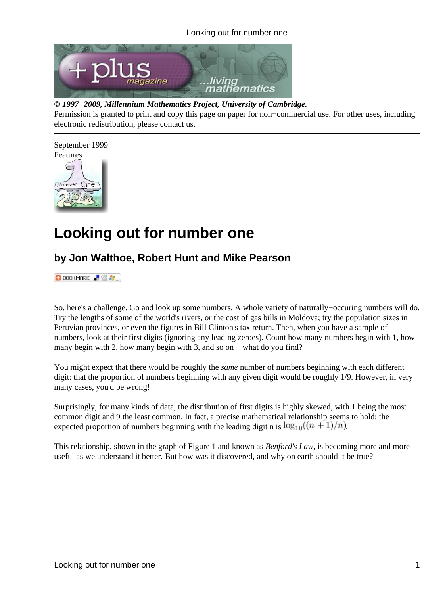

#### *© 1997−2009, Millennium Mathematics Project, University of Cambridge.*

Permission is granted to print and copy this page on paper for non−commercial use. For other uses, including electronic redistribution, please contact us.



# **Looking out for number one**

### **by Jon Walthoe, Robert Hunt and Mike Pearson**

**D** BOOKMARK **P B P** 

So, here's a challenge. Go and look up some numbers. A whole variety of naturally−occuring numbers will do. Try the lengths of some of the world's rivers, or the cost of gas bills in Moldova; try the population sizes in Peruvian provinces, or even the figures in Bill Clinton's tax return. Then, when you have a sample of numbers, look at their first digits (ignoring any leading zeroes). Count how many numbers begin with 1, how many begin with 2, how many begin with 3, and so on – what do you find?

You might expect that there would be roughly the *same* number of numbers beginning with each different digit: that the proportion of numbers beginning with any given digit would be roughly 1/9. However, in very many cases, you'd be wrong!

Surprisingly, for many kinds of data, the distribution of first digits is highly skewed, with 1 being the most common digit and 9 the least common. In fact, a precise mathematical relationship seems to hold: the expected proportion of numbers beginning with the leading digit n is  $\log_{10}((n+1)/n)$ .

This relationship, shown in the graph of Figure 1 and known as *Benford's Law*, is becoming more and more useful as we understand it better. But how was it discovered, and why on earth should it be true?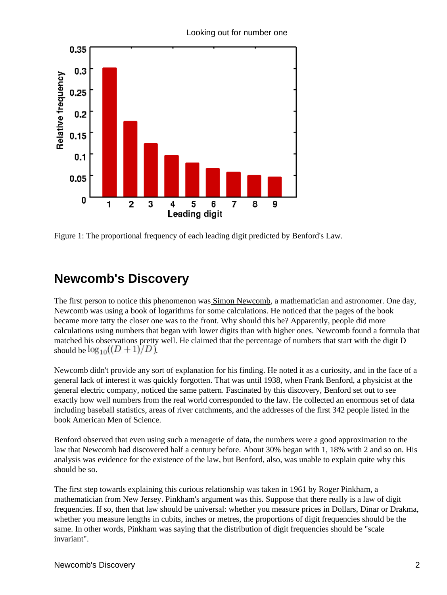

Looking out for number one

Figure 1: The proportional frequency of each leading digit predicted by Benford's Law.

## **Newcomb's Discovery**

The first person to notice this phenomenon was **Simon Newcomb**, a mathematician and astronomer. One day, Newcomb was using a book of logarithms for some calculations. He noticed that the pages of the book became more tatty the closer one was to the front. Why should this be? Apparently, people did more calculations using numbers that began with lower digits than with higher ones. Newcomb found a formula that matched his observations pretty well. He claimed that the percentage of numbers that start with the digit D should be  $\log_{10}((D+1)/D)$ .

Newcomb didn't provide any sort of explanation for his finding. He noted it as a curiosity, and in the face of a general lack of interest it was quickly forgotten. That was until 1938, when Frank Benford, a physicist at the general electric company, noticed the same pattern. Fascinated by this discovery, Benford set out to see exactly how well numbers from the real world corresponded to the law. He collected an enormous set of data including baseball statistics, areas of river catchments, and the addresses of the first 342 people listed in the book American Men of Science.

Benford observed that even using such a menagerie of data, the numbers were a good approximation to the law that Newcomb had discovered half a century before. About 30% began with 1, 18% with 2 and so on. His analysis was evidence for the existence of the law, but Benford, also, was unable to explain quite why this should be so.

The first step towards explaining this curious relationship was taken in 1961 by Roger Pinkham, a mathematician from New Jersey. Pinkham's argument was this. Suppose that there really is a law of digit frequencies. If so, then that law should be universal: whether you measure prices in Dollars, Dinar or Drakma, whether you measure lengths in cubits, inches or metres, the proportions of digit frequencies should be the same. In other words, Pinkham was saying that the distribution of digit frequencies should be "scale invariant".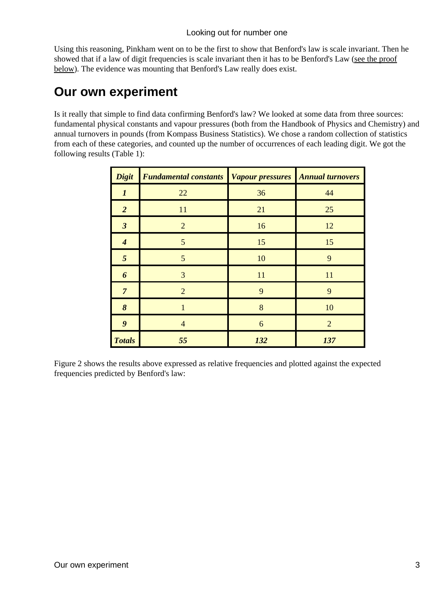Using this reasoning, Pinkham went on to be the first to show that Benford's law is scale invariant. Then he showed that if a law of digit frequencies is scale invariant then it has to be Benford's Law ([see the proof](#page-5-0) [below\)](#page-5-0). The evidence was mounting that Benford's Law really does exist.

### **Our own experiment**

Is it really that simple to find data confirming Benford's law? We looked at some data from three sources: fundamental physical constants and vapour pressures (both from the Handbook of Physics and Chemistry) and annual turnovers in pounds (from Kompass Business Statistics). We chose a random collection of statistics from each of these categories, and counted up the number of occurrences of each leading digit. We got the following results (Table 1):

| <b>Digit</b>     | <b>Fundamental constants</b> Vapour pressures Annual turnovers |     |                |
|------------------|----------------------------------------------------------------|-----|----------------|
| 1                | 22                                                             | 36  | 44             |
| $\overline{2}$   | 11                                                             | 21  | 25             |
| $\mathfrak{z}$   | $\overline{2}$                                                 | 16  | 12             |
| $\boldsymbol{4}$ | 5                                                              | 15  | 15             |
| 5                | 5                                                              | 10  | 9              |
| 6                | 3                                                              | 11  | 11             |
| $\overline{7}$   | $\overline{2}$                                                 | 9   | 9              |
| 8                | 1                                                              | 8   | 10             |
| 9                | $\overline{4}$                                                 | 6   | $\overline{2}$ |
| <b>Totals</b>    | 55                                                             | 132 | 137            |

Figure 2 shows the results above expressed as relative frequencies and plotted against the expected frequencies predicted by Benford's law: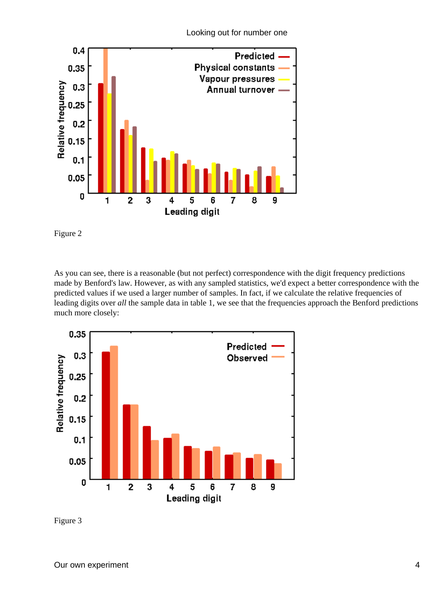



Figure 2

As you can see, there is a reasonable (but not perfect) correspondence with the digit frequency predictions made by Benford's law. However, as with any sampled statistics, we'd expect a better correspondence with the predicted values if we used a larger number of samples. In fact, if we calculate the relative frequencies of leading digits over *all* the sample data in table 1, we see that the frequencies approach the Benford predictions much more closely:



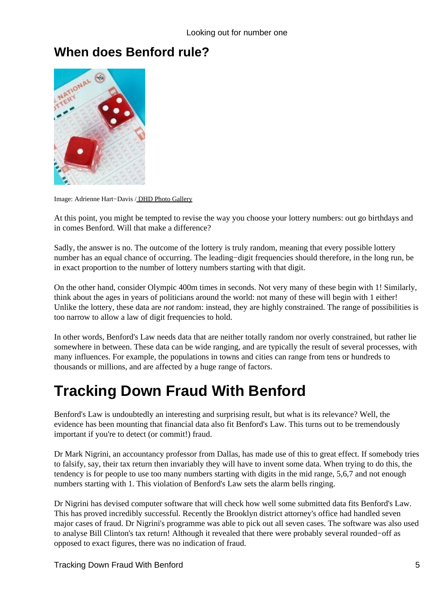## **When does Benford rule?**



Image: Adrienne Hart−Davis / [DHD Photo Gallery](http://www.hd.org/Damon/photos/)

At this point, you might be tempted to revise the way you choose your lottery numbers: out go birthdays and in comes Benford. Will that make a difference?

Sadly, the answer is no. The outcome of the lottery is truly random, meaning that every possible lottery number has an equal chance of occurring. The leading−digit frequencies should therefore, in the long run, be in exact proportion to the number of lottery numbers starting with that digit.

On the other hand, consider Olympic 400m times in seconds. Not very many of these begin with 1! Similarly, think about the ages in years of politicians around the world: not many of these will begin with 1 either! Unlike the lottery, these data are *not* random: instead, they are highly constrained. The range of possibilities is too narrow to allow a law of digit frequencies to hold.

In other words, Benford's Law needs data that are neither totally random nor overly constrained, but rather lie somewhere in between. These data can be wide ranging, and are typically the result of several processes, with many influences. For example, the populations in towns and cities can range from tens or hundreds to thousands or millions, and are affected by a huge range of factors.

## **Tracking Down Fraud With Benford**

Benford's Law is undoubtedly an interesting and surprising result, but what is its relevance? Well, the evidence has been mounting that financial data also fit Benford's Law. This turns out to be tremendously important if you're to detect (or commit!) fraud.

Dr Mark Nigrini, an accountancy professor from Dallas, has made use of this to great effect. If somebody tries to falsify, say, their tax return then invariably they will have to invent some data. When trying to do this, the tendency is for people to use too many numbers starting with digits in the mid range, 5,6,7 and not enough numbers starting with 1. This violation of Benford's Law sets the alarm bells ringing.

Dr Nigrini has devised computer software that will check how well some submitted data fits Benford's Law. This has proved incredibly successful. Recently the Brooklyn district attorney's office had handled seven major cases of fraud. Dr Nigrini's programme was able to pick out all seven cases. The software was also used to analyse Bill Clinton's tax return! Although it revealed that there were probably several rounded−off as opposed to exact figures, there was no indication of fraud.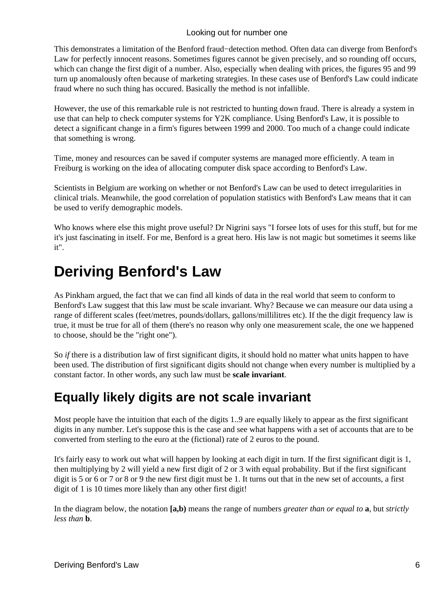This demonstrates a limitation of the Benford fraud−detection method. Often data can diverge from Benford's Law for perfectly innocent reasons. Sometimes figures cannot be given precisely, and so rounding off occurs, which can change the first digit of a number. Also, especially when dealing with prices, the figures 95 and 99 turn up anomalously often because of marketing strategies. In these cases use of Benford's Law could indicate fraud where no such thing has occured. Basically the method is not infallible.

However, the use of this remarkable rule is not restricted to hunting down fraud. There is already a system in use that can help to check computer systems for Y2K compliance. Using Benford's Law, it is possible to detect a significant change in a firm's figures between 1999 and 2000. Too much of a change could indicate that something is wrong.

Time, money and resources can be saved if computer systems are managed more efficiently. A team in Freiburg is working on the idea of allocating computer disk space according to Benford's Law.

Scientists in Belgium are working on whether or not Benford's Law can be used to detect irregularities in clinical trials. Meanwhile, the good correlation of population statistics with Benford's Law means that it can be used to verify demographic models.

Who knows where else this might prove useful? Dr Nigrini says "I forsee lots of uses for this stuff, but for me it's just fascinating in itself. For me, Benford is a great hero. His law is not magic but sometimes it seems like it".

## <span id="page-5-0"></span>**Deriving Benford's Law**

As Pinkham argued, the fact that we can find all kinds of data in the real world that seem to conform to Benford's Law suggest that this law must be scale invariant. Why? Because we can measure our data using a range of different scales (feet/metres, pounds/dollars, gallons/millilitres etc). If the the digit frequency law is true, it must be true for all of them (there's no reason why only one measurement scale, the one we happened to choose, should be the "right one").

So *if* there is a distribution law of first significant digits, it should hold no matter what units happen to have been used. The distribution of first significant digits should not change when every number is multiplied by a constant factor. In other words, any such law must be **scale invariant**.

## **Equally likely digits are not scale invariant**

Most people have the intuition that each of the digits 1..9 are equally likely to appear as the first significant digits in any number. Let's suppose this is the case and see what happens with a set of accounts that are to be converted from sterling to the euro at the (fictional) rate of 2 euros to the pound.

It's fairly easy to work out what will happen by looking at each digit in turn. If the first significant digit is 1, then multiplying by 2 will yield a new first digit of 2 or 3 with equal probability. But if the first significant digit is 5 or 6 or 7 or 8 or 9 the new first digit must be 1. It turns out that in the new set of accounts, a first digit of 1 is 10 times more likely than any other first digit!

In the diagram below, the notation **[a,b)** means the range of numbers *greater than or equal to* **a**, but *strictly less than* **b**.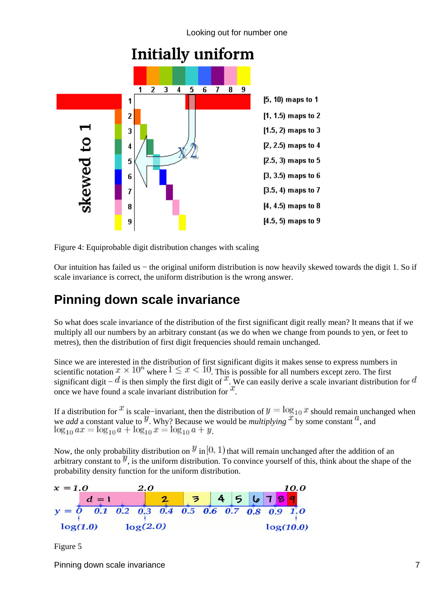

**Initially uniform** 

Figure 4: Equiprobable digit distribution changes with scaling

Our intuition has failed us − the original uniform distribution is now heavily skewed towards the digit 1. So if scale invariance is correct, the uniform distribution is the wrong answer.

## **Pinning down scale invariance**

So what does scale invariance of the distribution of the first significant digit really mean? It means that if we multiply all our numbers by an arbitrary constant (as we do when we change from pounds to yen, or feet to metres), then the distribution of first digit frequencies should remain unchanged.

Since we are interested in the distribution of first significant digits it makes sense to express numbers in scientific notation  $x \times 10^n$  where  $1 \le x < 10$ . This is possible for all numbers except zero. The first significant digit –  $d$  is then simply the first digit of  $x$ . We can easily derive a scale invariant distribution for  $d$ once we have found a scale invariant distribution for  $x$ .

If a distribution for  $\cdot^t$  is scale–invariant, then the distribution of  $y = \log_{10} x$  should remain unchanged when we *add* a constant value to <sup>y</sup>. Why? Because we would be *multiplying* <sup>it</sup> by some constant <sup>*u*</sup>, and  $\log_{10} ax = \log_{10} a + \log_{10} x = \log_{10} a + y$ 

Now, the only probability distribution on  $\mathcal{Y}$  in  $[0, 1)$  that will remain unchanged after the addition of an arbitrary constant to  $y$ , is the uniform distribution. To convince yourself of this, think about the shape of the probability density function for the uniform distribution.



Figure 5

Pinning down scale invariance 7 and 2008 and 2008 and 2008 and 2008 and 2008 and 2008 and 2008 and 2008 and 200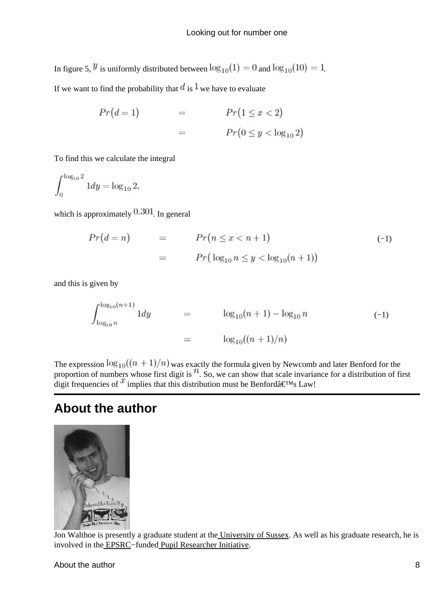In figure 5,  $\mathcal{Y}$  is uniformly distributed between  $\log_{10}(1) = 0$  and  $\log_{10}(10) = 1$ .

If we want to find the probability that  $d$  is  $\frac{1}{x}$  we have to evaluate

$$
Pr(d = 1) = Pr(1 \le x < 2)
$$
\n
$$
= Pr(0 \le y < \log_{10} 2)
$$

To find this we calculate the integral

 $\int_0^{\log_{10} 2} 1 dy = \log_{10} 2,$ 

which is approximately  $0.301$ . In general

$$
Pr(d = n) = Pr(n \le x < n + 1)
$$
  
= 
$$
Pr(\log_{10} n \le y < \log_{10}(n + 1))
$$
 (-1)

and this is given by

$$
\int_{\log_{10} n}^{\log_{10}(n+1)} 1 dy = \log_{10}(n+1) - \log_{10} n \tag{–1}
$$
\n
$$
= \log_{10}((n+1)/n)
$$

The expression  $\log_{10}((n+1)/n)$  was exactly the formula given by Newcomb and later Benford for the proportion of numbers whose first digit is  $\binom{n}{k}$ . So, we can show that scale invariance for a distribution of first digit frequencies of  $x$  implies that this distribution must be Benford $\hat{a} \in \text{TMs}$  Law!

### **About the author**



Jon Walthoe is presently a graduate student at th[e University of Sussex](http://www.susx.ac.uk/). As well as his graduate research, he is involved in the [EPSRC](http://www.epsrc.ac.uk/)−funde[d Pupil Researcher Initiative](http://www.shu.ac.uk/schools/sci/pri/).